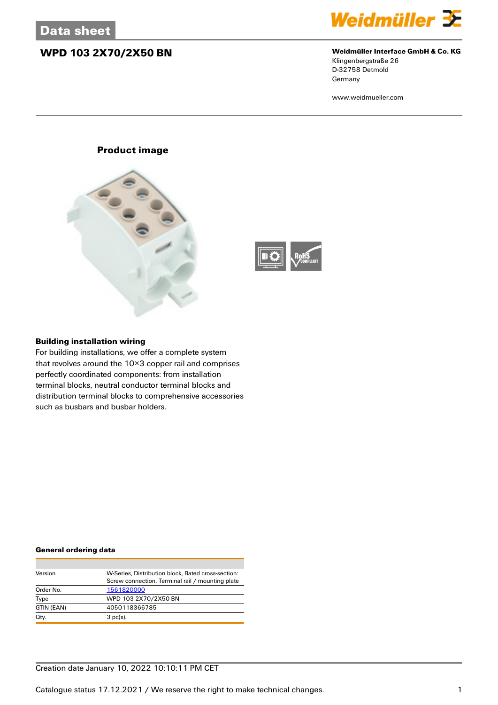## **WPD 103 2X70/2X50 BN Weidmüller Interface GmbH & Co. KG**



Klingenbergstraße 26 D-32758 Detmold **Germany** 

www.weidmueller.com





### **Building installation wiring**

For building installations, we offer a complete system that revolves around the 10×3 copper rail and comprises perfectly coordinated components: from installation terminal blocks, neutral conductor terminal blocks and distribution terminal blocks to comprehensive accessories such as busbars and busbar holders.

### **General ordering data**

| Version    | W-Series, Distribution block, Rated cross-section: |
|------------|----------------------------------------------------|
|            | Screw connection, Terminal rail / mounting plate   |
| Order No.  | 1561820000                                         |
| Type       | WPD 103 2X70/2X50 BN                               |
| GTIN (EAN) | 4050118366785                                      |
| Qty.       | $3$ pc(s).                                         |

## Creation date January 10, 2022 10:10:11 PM CET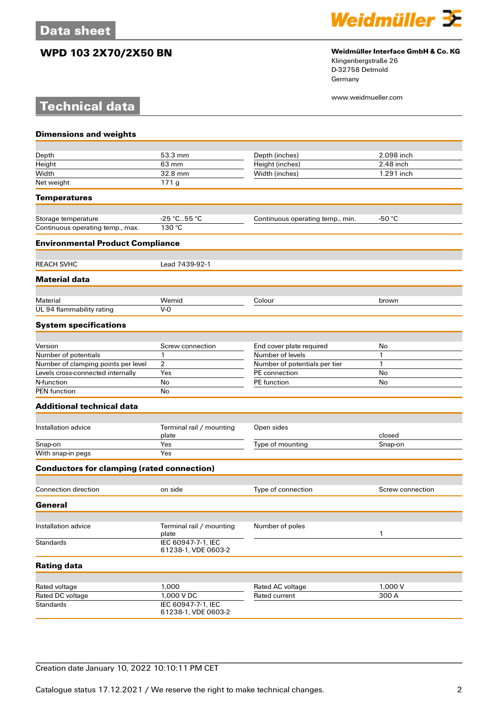**Technical data**



## **WPD 103 2X70/2X50 BN Weidmüller Interface GmbH & Co. KG**

Klingenbergstraße 26 D-32758 Detmold Germany

www.weidmueller.com

| <b>Dimensions and weights</b>                     |                                           |                                   |                  |
|---------------------------------------------------|-------------------------------------------|-----------------------------------|------------------|
|                                                   |                                           |                                   |                  |
| Depth                                             | 53.3 mm                                   | Depth (inches)                    | 2.098 inch       |
| Height                                            | 63 mm                                     | Height (inches)                   | 2.48 inch        |
| Width                                             | 32.8 mm                                   | Width (inches)                    | 1.291 inch       |
| Net weight                                        | 171g                                      |                                   |                  |
| <b>Temperatures</b>                               |                                           |                                   |                  |
| Storage temperature                               | $-25 °C55 °C$                             | Continuous operating temp., min.  | $-50 °C$         |
| Continuous operating temp., max.                  | 130 °C                                    |                                   |                  |
| <b>Environmental Product Compliance</b>           |                                           |                                   |                  |
| <b>REACH SVHC</b>                                 | Lead 7439-92-1                            |                                   |                  |
| <b>Material data</b>                              |                                           |                                   |                  |
| Material                                          | Wemid                                     | Colour                            |                  |
| UL 94 flammability rating                         | $V - Q$                                   |                                   | brown            |
| <b>System specifications</b>                      |                                           |                                   |                  |
|                                                   |                                           |                                   |                  |
| Version                                           | Screw connection                          | End cover plate required          | No               |
| Number of potentials                              | 1                                         | Number of levels                  | 1                |
| Number of clamping points per level               | 2                                         | Number of potentials per tier     | 1                |
| Levels cross-connected internally                 | Yes                                       | PE connection                     | No               |
| N-function<br><b>PEN</b> function                 | No<br>No                                  | PE function                       | No               |
| <b>Additional technical data</b>                  |                                           |                                   |                  |
|                                                   |                                           |                                   |                  |
| Installation advice                               | Terminal rail / mounting<br>plate         | Open sides                        | closed           |
| Snap-on                                           | Yes                                       | Type of mounting                  | Snap-on          |
| With snap-in pegs                                 | Yes                                       |                                   |                  |
| <b>Conductors for clamping (rated connection)</b> |                                           |                                   |                  |
| Connection direction                              | on side                                   | Type of connection                | Screw connection |
| General                                           |                                           |                                   |                  |
|                                                   |                                           |                                   |                  |
| Installation advice                               | Terminal rail / mounting<br>plate         | Number of poles                   | 1                |
| <b>Standards</b>                                  | IEC 60947-7-1, IEC<br>61238-1, VDE 0603-2 |                                   |                  |
| <b>Rating data</b>                                |                                           |                                   |                  |
|                                                   | 1,000                                     |                                   | 1,000 V          |
| Rated voltage<br>Rated DC voltage                 | 1,000 V DC                                | Rated AC voltage<br>Rated current | 300 A            |
| <b>Standards</b>                                  | IEC 60947-7-1, IEC                        |                                   |                  |
|                                                   | 61238-1, VDE 0603-2                       |                                   |                  |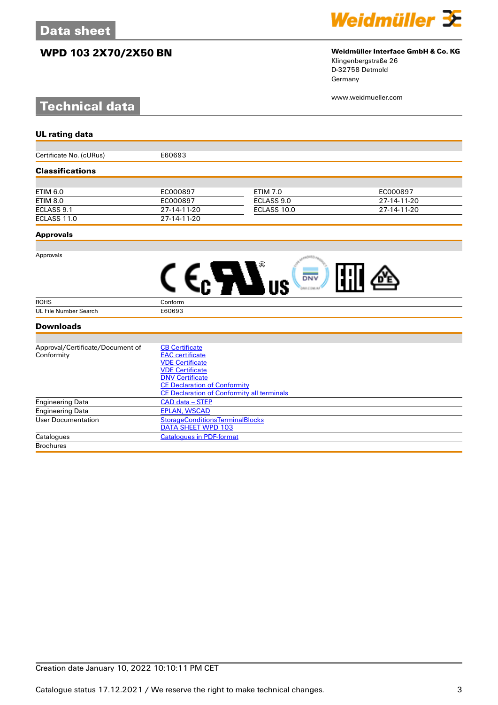# **WPD 103 2X70/2X50 BN Weidmüller Interface GmbH & Co. KG**

# **Technical data**



# Klingenbergstraße 26

D-32758 Detmold Germany

www.weidmueller.com

| <b>UL rating data</b>            |                                                   |                 |             |
|----------------------------------|---------------------------------------------------|-----------------|-------------|
|                                  |                                                   |                 |             |
| Certificate No. (cURus)          | E60693                                            |                 |             |
| <b>Classifications</b>           |                                                   |                 |             |
|                                  |                                                   |                 |             |
| <b>ETIM 6.0</b>                  | EC000897                                          | <b>ETIM 7.0</b> | EC000897    |
| <b>ETIM 8.0</b>                  | EC000897                                          | ECLASS 9.0      | 27-14-11-20 |
| ECLASS 9.1                       | 27-14-11-20                                       | ECLASS 10.0     | 27-14-11-20 |
| ECLASS 11.0                      | 27-14-11-20                                       |                 |             |
| <b>Approvals</b>                 |                                                   |                 |             |
|                                  |                                                   |                 |             |
| Approvals                        |                                                   |                 |             |
|                                  |                                                   | <b>DNV</b>      |             |
|                                  |                                                   |                 |             |
| <b>ROHS</b>                      | Conform                                           |                 |             |
| UL File Number Search            | E60693                                            |                 |             |
| <b>Downloads</b>                 |                                                   |                 |             |
|                                  |                                                   |                 |             |
| Approval/Certificate/Document of | <b>CB Certificate</b>                             |                 |             |
| Conformity                       | <b>EAC</b> certificate                            |                 |             |
|                                  | <b>VDE Certificate</b>                            |                 |             |
|                                  | <b>VDE Certificate</b>                            |                 |             |
|                                  | <b>DNV Certificate</b>                            |                 |             |
|                                  | <b>CE Declaration of Conformity</b>               |                 |             |
|                                  | <b>CE Declaration of Conformity all terminals</b> |                 |             |
| <b>Engineering Data</b>          | CAD data - STEP                                   |                 |             |
| <b>Engineering Data</b>          | <b>EPLAN, WSCAD</b>                               |                 |             |
| <b>User Documentation</b>        | <b>StorageConditionsTerminalBlocks</b>            |                 |             |
|                                  | DATA SHEET WPD 103                                |                 |             |

Catalogues [Catalogues in PDF-format](http://catalog.weidmueller.com/assets/LINK/Catalog.html)

**Brochures**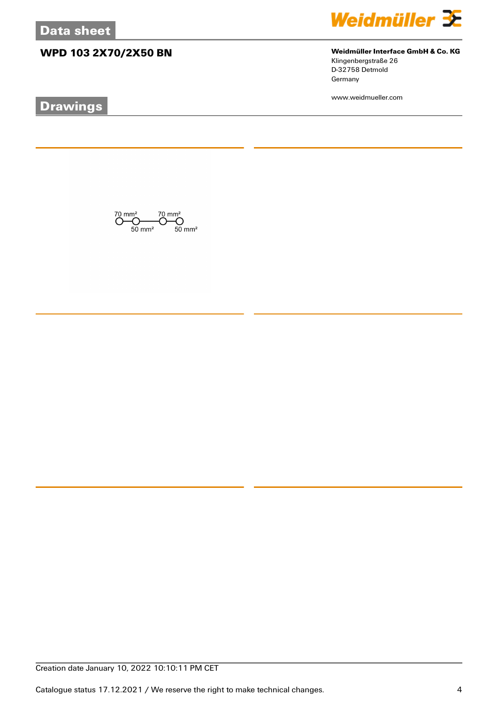# **WPD 103 2X70/2X50 BN Weidmüller Interface GmbH & Co. KG**

# **Drawings**



Klingenbergstraße 26 D-32758 Detmold Germany

www.weidmueller.com

 $\overline{\text{O}}_{50 \text{ mm}^2}^{\text{70 mm}^2} \overline{\text{O}}_{50 \text{ mm}^2}^{\text{70 mm}^2} \overline{\text{O}}_{50 \text{ mm}^2}^{\text{70 mm}^2}$ 

Creation date January 10, 2022 10:10:11 PM CET

Catalogue status 17.12.2021 / We reserve the right to make technical changes. 4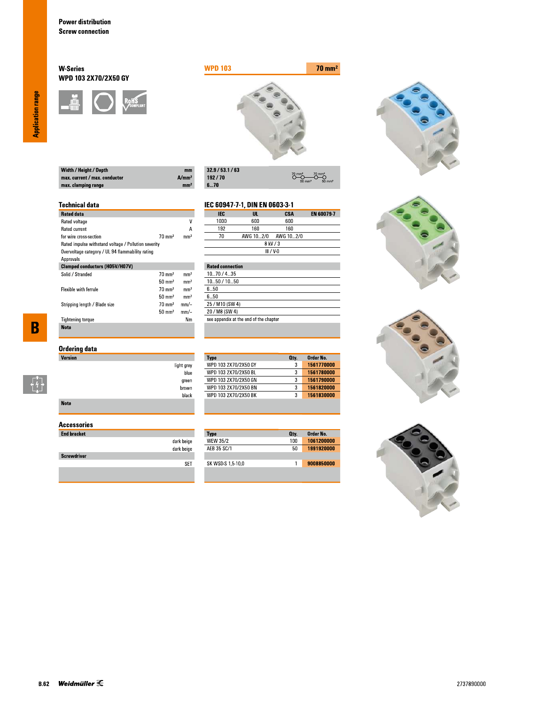## **W-Series** WPD 103 2X70/2X50 GY





 $\overline{\overset{70}{\bigcirc}}$ 

**CSA**<br>600

 $O \rightarrow O$ 

EN 60079-7

| Width / Height / Depth        | mm                |
|-------------------------------|-------------------|
| max. current / max. conductor | A/mm <sup>2</sup> |
| max. clamping range           | mm <sup>2</sup>   |

| 32.9/53.1/63 |
|--------------|
| 192/70       |
| 670          |

IEC

 $1000$ 

light grey blue

green  $brown$ black IEC 60947-7-1, DIN EN 0603-3-1

 $\frac{UL}{600}$ 

## **Technical data**

| <b>Rated data</b>                                    |                   |                 |
|------------------------------------------------------|-------------------|-----------------|
| Rated voltage                                        |                   | ٧               |
| <b>Rated current</b>                                 |                   | А               |
| for wire cross-section                               | $70 \text{ mm}^2$ | mm <sup>2</sup> |
| Rated impulse withstand voltage / Pollution severity |                   |                 |
| Overvoltage category / UL 94 flammability rating     |                   |                 |
| Approvals                                            |                   |                 |
| <b>Clamped conductors (H05V/H07V)</b>                |                   |                 |
| Solid / Stranded                                     | $70 \text{ mm}^2$ | mm <sup>2</sup> |
|                                                      | $50 \text{ mm}^2$ | mm <sup>2</sup> |
| <b>Flexible with ferrule</b>                         | $70 \text{ mm}^2$ | mm <sup>2</sup> |
|                                                      | $50 \text{ mm}^2$ | mm <sup>2</sup> |
| Stripping length / Blade size                        | $70 \text{ mm}^2$ | mm/-            |
|                                                      | $50 \text{ mm}^2$ | mm/-            |
| <b>Tightening torque</b>                             |                   | Nm              |
| <b>Note</b>                                          |                   |                 |

 $\overline{\mathbf{B}}$ 

 $\begin{bmatrix} 1 \\ 1 \\ 1 \end{bmatrix}$ 

| Ordering data |  |
|---------------|--|
| Version       |  |

| <b>Note</b> |  |  |  |
|-------------|--|--|--|

## **Accessories**

| <b>End bracket</b> |            |
|--------------------|------------|
|                    | dark beige |
|                    | dark beige |
| <b>Screwdriver</b> |            |
|                    |            |
|                    |            |

| 192                     | 160       | 160         |  |
|-------------------------|-----------|-------------|--|
| 70                      | AWG 102/0 | AWG 10…2/0  |  |
|                         |           | 8 kV / 3    |  |
|                         |           | $III / V-0$ |  |
|                         |           |             |  |
| <b>Rated connection</b> |           |             |  |
|                         |           |             |  |

| 1070/435                               |
|----------------------------------------|
| 1050 / 1050                            |
| 650                                    |
| 6 5Ո                                   |
| 25 / M10 (SW 4)                        |
| 20 / M8 (SW 4)                         |
| see appendix at the end of the chapter |
|                                        |

| 3<br>3 | 1561770000 |
|--------|------------|
|        |            |
|        | 1561780000 |
| 3      | 1561790000 |
| 3      | 1561820000 |
| 3      | 1561830000 |
|        |            |

| <b>Type</b>       | Oty. | Order No.  |
|-------------------|------|------------|
| <b>WEW 35/2</b>   | 100  | 1061200000 |
| AFB 35 SC/1       | 50   | 1991920000 |
|                   |      |            |
| SK WSD-S 1,5-10,0 |      | 9008850000 |